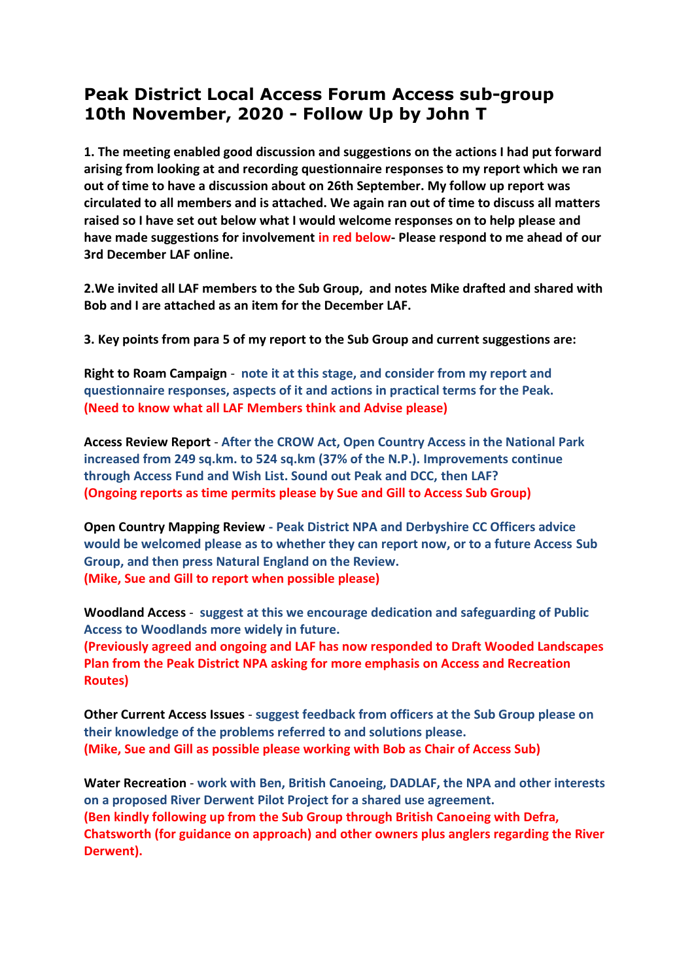## **Peak District Local Access Forum Access sub-group 10th November, 2020 - Follow Up by John T**

**1. The meeting enabled good discussion and suggestions on the actions I had put forward arising from looking at and recording questionnaire responses to my report which we ran out of time to have a discussion about on 26th September. My follow up report was circulated to all members and is attached. We again ran out of time to discuss all matters raised so I have set out below what I would welcome responses on to help please and have made suggestions for involvement in red below- Please respond to me ahead of our 3rd December LAF online.**

**2.We invited all LAF members to the Sub Group, and notes Mike drafted and shared with Bob and I are attached as an item for the December LAF.** 

**3. Key points from para 5 of my report to the Sub Group and current suggestions are:**

**Right to Roam Campaign** - **note it at this stage, and consider from my report and questionnaire responses, aspects of it and actions in practical terms for the Peak. (Need to know what all LAF Members think and Advise please)**

**Access Review Report** - **After the CROW Act, Open Country Access in the National Park increased from 249 sq.km. to 524 sq.km (37% of the N.P.). Improvements continue through Access Fund and Wish List. Sound out Peak and DCC, then LAF? (Ongoing reports as time permits please by Sue and Gill to Access Sub Group)**

**Open Country Mapping Review - Peak District NPA and Derbyshire CC Officers advice would be welcomed please as to whether they can report now, or to a future Access Sub Group, and then press Natural England on the Review. (Mike, Sue and Gill to report when possible please)**

**Woodland Access** - **suggest at this we encourage dedication and safeguarding of Public Access to Woodlands more widely in future.** 

**(Previously agreed and ongoing and LAF has now responded to Draft Wooded Landscapes Plan from the Peak District NPA asking for more emphasis on Access and Recreation Routes)**

**Other Current Access Issues** - **suggest feedback from officers at the Sub Group please on their knowledge of the problems referred to and solutions please. (Mike, Sue and Gill as possible please working with Bob as Chair of Access Sub)**

**Water Recreation** - **work with Ben, British Canoeing, DADLAF, the NPA and other interests on a proposed River Derwent Pilot Project for a shared use agreement. (Ben kindly following up from the Sub Group through British Canoeing with Defra, Chatsworth (for guidance on approach) and other owners plus anglers regarding the River Derwent).**